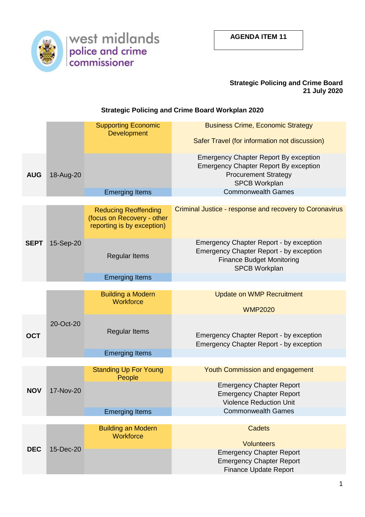

## **Strategic Policing and Crime Board 21 July 2020**

## **Strategic Policing and Crime Board Workplan 2020**

|             |           | <b>Supporting Economic</b><br><b>Development</b>                                        | <b>Business Crime, Economic Strategy</b>                                                                                                                     |  |  |  |
|-------------|-----------|-----------------------------------------------------------------------------------------|--------------------------------------------------------------------------------------------------------------------------------------------------------------|--|--|--|
|             |           |                                                                                         | Safer Travel (for information not discussion)                                                                                                                |  |  |  |
| <b>AUG</b>  | 18-Aug-20 |                                                                                         | <b>Emergency Chapter Report By exception</b><br><b>Emergency Chapter Report By exception</b><br><b>Procurement Strategy</b><br><b>SPCB Workplan</b>          |  |  |  |
|             |           | <b>Emerging Items</b>                                                                   | <b>Commonwealth Games</b>                                                                                                                                    |  |  |  |
|             |           |                                                                                         |                                                                                                                                                              |  |  |  |
| <b>SEPT</b> | 15-Sep-20 | <b>Reducing Reoffending</b><br>(focus on Recovery - other<br>reporting is by exception) | Criminal Justice - response and recovery to Coronavirus                                                                                                      |  |  |  |
|             |           | <b>Regular Items</b>                                                                    | <b>Emergency Chapter Report - by exception</b><br><b>Emergency Chapter Report - by exception</b><br><b>Finance Budget Monitoring</b><br><b>SPCB Workplan</b> |  |  |  |
|             |           | <b>Emerging Items</b>                                                                   |                                                                                                                                                              |  |  |  |
|             |           |                                                                                         |                                                                                                                                                              |  |  |  |
|             |           | <b>Building a Modern</b><br>Workforce                                                   | <b>Update on WMP Recruitment</b>                                                                                                                             |  |  |  |
|             |           |                                                                                         | <b>WMP2020</b>                                                                                                                                               |  |  |  |
| <b>OCT</b>  | 20-Oct-20 | <b>Regular Items</b>                                                                    | <b>Emergency Chapter Report - by exception</b><br>Emergency Chapter Report - by exception                                                                    |  |  |  |
|             |           | <b>Emerging Items</b>                                                                   |                                                                                                                                                              |  |  |  |
|             |           |                                                                                         |                                                                                                                                                              |  |  |  |
|             |           | <b>Standing Up For Young</b><br>People                                                  | <b>Youth Commission and engagement</b>                                                                                                                       |  |  |  |
| <b>NOV</b>  | 17-Nov-20 |                                                                                         | <b>Emergency Chapter Report</b><br><b>Emergency Chapter Report</b><br><b>Violence Reduction Unit</b>                                                         |  |  |  |
|             |           | <b>Emerging Items</b>                                                                   | <b>Commonwealth Games</b>                                                                                                                                    |  |  |  |
|             |           |                                                                                         |                                                                                                                                                              |  |  |  |
|             |           | <b>Building an Modern</b>                                                               | <b>Cadets</b>                                                                                                                                                |  |  |  |
| <b>DEC</b>  | 15-Dec-20 | <b>Workforce</b>                                                                        | <b>Volunteers</b>                                                                                                                                            |  |  |  |
|             |           |                                                                                         | <b>Emergency Chapter Report</b><br><b>Emergency Chapter Report</b>                                                                                           |  |  |  |
|             |           |                                                                                         | <b>Finance Update Report</b>                                                                                                                                 |  |  |  |